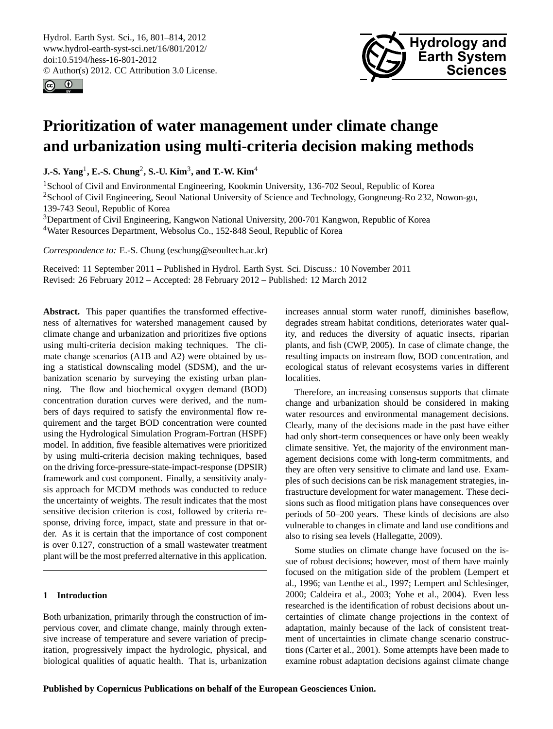<span id="page-0-0"></span>Hydrol. Earth Syst. Sci., 16, 801–814, 2012 www.hydrol-earth-syst-sci.net/16/801/2012/ doi:10.5194/hess-16-801-2012 © Author(s) 2012. CC Attribution 3.0 License.





# **Prioritization of water management under climate change and urbanization using multi-criteria decision making methods**

**J.-S. Yang**<sup>1</sup> **, E.-S. Chung**<sup>2</sup> **, S.-U. Kim**<sup>3</sup> **, and T.-W. Kim**<sup>4</sup>

<sup>1</sup> School of Civil and Environmental Engineering, Kookmin University, 136-702 Seoul, Republic of Korea <sup>2</sup>School of Civil Engineering, Seoul National University of Science and Technology, Gongneung-Ro 232, Nowon-gu, 139-743 Seoul, Republic of Korea

<sup>3</sup>Department of Civil Engineering, Kangwon National University, 200-701 Kangwon, Republic of Korea <sup>4</sup>Water Resources Department, Websolus Co., 152-848 Seoul, Republic of Korea

*Correspondence to:* E.-S. Chung (eschung@seoultech.ac.kr)

Received: 11 September 2011 – Published in Hydrol. Earth Syst. Sci. Discuss.: 10 November 2011 Revised: 26 February 2012 – Accepted: 28 February 2012 – Published: 12 March 2012

Abstract. This paper quantifies the transformed effectiveness of alternatives for watershed management caused by climate change and urbanization and prioritizes five options using multi-criteria decision making techniques. The climate change scenarios (A1B and A2) were obtained by using a statistical downscaling model (SDSM), and the urbanization scenario by surveying the existing urban planning. The flow and biochemical oxygen demand (BOD) concentration duration curves were derived, and the numbers of days required to satisfy the environmental flow requirement and the target BOD concentration were counted using the Hydrological Simulation Program-Fortran (HSPF) model. In addition, five feasible alternatives were prioritized by using multi-criteria decision making techniques, based on the driving force-pressure-state-impact-response (DPSIR) framework and cost component. Finally, a sensitivity analysis approach for MCDM methods was conducted to reduce the uncertainty of weights. The result indicates that the most sensitive decision criterion is cost, followed by criteria response, driving force, impact, state and pressure in that order. As it is certain that the importance of cost component is over 0.127, construction of a small wastewater treatment plant will be the most preferred alternative in this application.

## **1 Introduction**

Both urbanization, primarily through the construction of impervious cover, and climate change, mainly through extensive increase of temperature and severe variation of precipitation, progressively impact the hydrologic, physical, and biological qualities of aquatic health. That is, urbanization increases annual storm water runoff, diminishes baseflow, degrades stream habitat conditions, deteriorates water quality, and reduces the diversity of aquatic insects, riparian plants, and fish (CWP, 2005). In case of climate change, the resulting impacts on instream flow, BOD concentration, and ecological status of relevant ecosystems varies in different localities.

Therefore, an increasing consensus supports that climate change and urbanization should be considered in making water resources and environmental management decisions. Clearly, many of the decisions made in the past have either had only short-term consequences or have only been weakly climate sensitive. Yet, the majority of the environment management decisions come with long-term commitments, and they are often very sensitive to climate and land use. Examples of such decisions can be risk management strategies, infrastructure development for water management. These decisions such as flood mitigation plans have consequences over periods of 50–200 years. These kinds of decisions are also vulnerable to changes in climate and land use conditions and also to rising sea levels (Hallegatte, 2009).

Some studies on climate change have focused on the issue of robust decisions; however, most of them have mainly focused on the mitigation side of the problem (Lempert et al., 1996; van Lenthe et al., 1997; Lempert and Schlesinger, 2000; Caldeira et al., 2003; Yohe et al., 2004). Even less researched is the identification of robust decisions about uncertainties of climate change projections in the context of adaptation, mainly because of the lack of consistent treatment of uncertainties in climate change scenario constructions (Carter et al., 2001). Some attempts have been made to examine robust adaptation decisions against climate change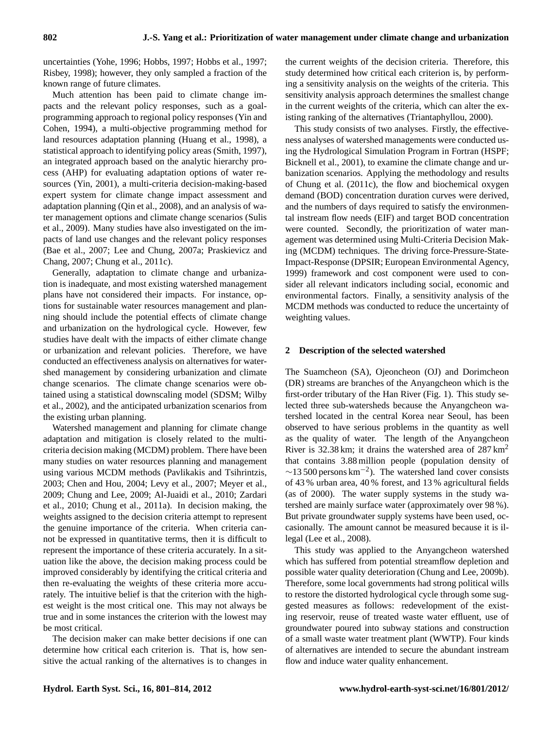uncertainties (Yohe, 1996; Hobbs, 1997; Hobbs et al., 1997; Risbey, 1998); however, they only sampled a fraction of the known range of future climates.

Much attention has been paid to climate change impacts and the relevant policy responses, such as a goalprogramming approach to regional policy responses (Yin and Cohen, 1994), a multi-objective programming method for land resources adaptation planning (Huang et al., 1998), a statistical approach to identifying policy areas (Smith, 1997), an integrated approach based on the analytic hierarchy process (AHP) for evaluating adaptation options of water resources (Yin, 2001), a multi-criteria decision-making-based expert system for climate change impact assessment and adaptation planning (Qin et al., 2008), and an analysis of water management options and climate change scenarios (Sulis et al., 2009). Many studies have also investigated on the impacts of land use changes and the relevant policy responses (Bae et al., 2007; Lee and Chung, 2007a; Praskievicz and Chang, 2007; Chung et al., 2011c).

Generally, adaptation to climate change and urbanization is inadequate, and most existing watershed management plans have not considered their impacts. For instance, options for sustainable water resources management and planning should include the potential effects of climate change and urbanization on the hydrological cycle. However, few studies have dealt with the impacts of either climate change or urbanization and relevant policies. Therefore, we have conducted an effectiveness analysis on alternatives for watershed management by considering urbanization and climate change scenarios. The climate change scenarios were obtained using a statistical downscaling model (SDSM; Wilby et al., 2002), and the anticipated urbanization scenarios from the existing urban planning.

Watershed management and planning for climate change adaptation and mitigation is closely related to the multicriteria decision making (MCDM) problem. There have been many studies on water resources planning and management using various MCDM methods (Pavlikakis and Tsihrintzis, 2003; Chen and Hou, 2004; Levy et al., 2007; Meyer et al., 2009; Chung and Lee, 2009; Al-Juaidi et al., 2010; Zardari et al., 2010; Chung et al., 2011a). In decision making, the weights assigned to the decision criteria attempt to represent the genuine importance of the criteria. When criteria cannot be expressed in quantitative terms, then it is difficult to represent the importance of these criteria accurately. In a situation like the above, the decision making process could be improved considerably by identifying the critical criteria and then re-evaluating the weights of these criteria more accurately. The intuitive belief is that the criterion with the highest weight is the most critical one. This may not always be true and in some instances the criterion with the lowest may be most critical.

The decision maker can make better decisions if one can determine how critical each criterion is. That is, how sensitive the actual ranking of the alternatives is to changes in the current weights of the decision criteria. Therefore, this study determined how critical each criterion is, by performing a sensitivity analysis on the weights of the criteria. This sensitivity analysis approach determines the smallest change in the current weights of the criteria, which can alter the existing ranking of the alternatives (Triantaphyllou, 2000).

This study consists of two analyses. Firstly, the effectiveness analyses of watershed managements were conducted using the Hydrological Simulation Program in Fortran (HSPF; Bicknell et al., 2001), to examine the climate change and urbanization scenarios. Applying the methodology and results of Chung et al. (2011c), the flow and biochemical oxygen demand (BOD) concentration duration curves were derived, and the numbers of days required to satisfy the environmental instream flow needs (EIF) and target BOD concentration were counted. Secondly, the prioritization of water management was determined using Multi-Criteria Decision Making (MCDM) techniques. The driving force-Pressure-State-Impact-Response (DPSIR; European Environmental Agency, 1999) framework and cost component were used to consider all relevant indicators including social, economic and environmental factors. Finally, a sensitivity analysis of the MCDM methods was conducted to reduce the uncertainty of weighting values.

## **2 Description of the selected watershed**

The Suamcheon (SA), Ojeoncheon (OJ) and Dorimcheon (DR) streams are branches of the Anyangcheon which is the first-order tributary of the Han River (Fig. 1). This study selected three sub-watersheds because the Anyangcheon watershed located in the central Korea near Seoul, has been observed to have serious problems in the quantity as well as the quality of water. The length of the Anyangcheon River is  $32.38 \text{ km}$ ; it drains the watershed area of  $287 \text{ km}^2$ that contains 3.88 million people (population density of  $\sim$ 13 500 persons km<sup>-2</sup>). The watershed land cover consists of 43 % urban area, 40 % forest, and 13 % agricultural fields (as of 2000). The water supply systems in the study watershed are mainly surface water (approximately over 98 %). But private groundwater supply systems have been used, occasionally. The amount cannot be measured because it is illegal (Lee et al., 2008).

This study was applied to the Anyangcheon watershed which has suffered from potential streamflow depletion and possible water quality deterioration (Chung and Lee, 2009b). Therefore, some local governments had strong political wills to restore the distorted hydrological cycle through some suggested measures as follows: redevelopment of the existing reservoir, reuse of treated waste water effluent, use of groundwater poured into subway stations and construction of a small waste water treatment plant (WWTP). Four kinds of alternatives are intended to secure the abundant instream flow and induce water quality enhancement.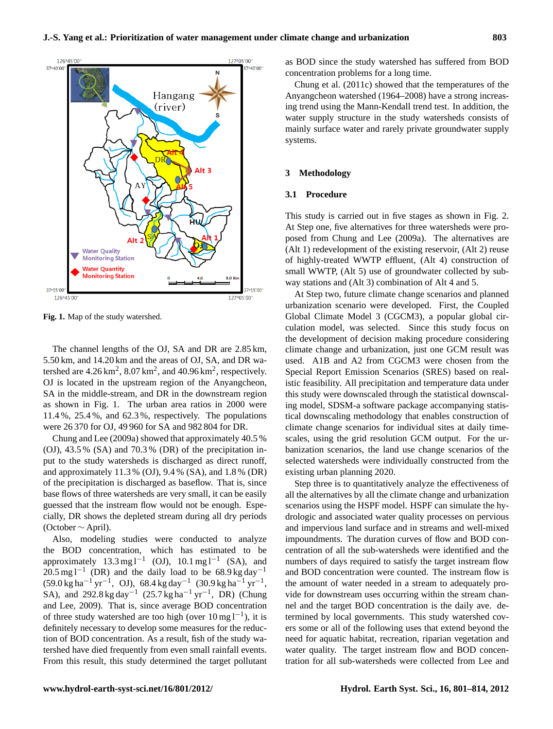

696 **Fig. 1. Map of the study watershed Fig. 1.** Map of the study watershed.

The channel lengths of the OJ, SA and DR are 2.85 km, 5.50 km, and 14.20 km and the areas of OJ, SA, and DR watershed are  $4.26 \text{ km}^2$ ,  $8.07 \text{ km}^2$ , and  $40.96 \text{ km}^2$ , respectively. OJ is located in the upstream region of the Anyangcheon, SA in the middle-stream, and DR in the downstream region as shown in Fig. 1. The urban area ratios in 2000 were 11.4 %, 25.4 %, and 62.3 %, respectively. The populations were 26 370 for OJ, 49 960 for SA and 982 804 for DR.

(OJ), 43.5 % (SA) and 70.3 % (DR) of the precipitation in-Chung and Lee (2009a) showed that approximately 40.5 % put to the study watersheds is discharged as direct runoff, and approximately 11.3 % (OJ), 9.4 % (SA), and 1.8 % (DR) of the precipitation is discharged as baseflow. That is, since base flows of three watersheds are very small, it can be easily guessed that the instream flow would not be enough. Especially, DR shows the depleted stream during all dry periods (October ∼ April).

Also, modeling studies were conducted to analyze the BOD concentration, which has estimated to be approximately  $13.3 \text{ mg l}^{-1}$  (OJ),  $10.1 \text{ mg l}^{-1}$  (SA), and  $20.5$  mg l<sup>-1</sup> (DR) and the daily load to be 68.9 kg day<sup>-1</sup>  $(59.0 \text{ kg ha}^{-1} \text{ yr}^{-1}$ , OJ),  $68.4 \text{ kg day}^{-1}$   $(30.9 \text{ kg ha}^{-1} \text{ yr}^{-1}$ , SA), and 292.8 kg day<sup>-1</sup> (25.7 kg ha<sup>-1</sup> yr<sup>-1</sup>, DR) (Chung and Lee, 2009). That is, since average BOD concentration of three study watershed are too high (over  $10 \text{ mg } l^{-1}$ ), it is definitely necessary to develop some measures for the reduction of BOD concentration. As a result, fish of the study watershed have died frequently from even small rainfall events. From this result, this study determined the target pollutant as BOD since the study watershed has suffered from BOD concentration problems for a long time.

Chung et al. (2011c) showed that the temperatures of the Anyangcheon watershed (1964–2008) have a strong increasing trend using the Mann-Kendall trend test. In addition, the water supply structure in the study watersheds consists of mainly surface water and rarely private groundwater supply systems.

#### **3 Methodology**

## **3.1 Procedure**

This study is carried out in five stages as shown in Fig. 2. At Step one, five alternatives for three watersheds were proposed from Chung and Lee (2009a). The alternatives are (Alt 1) redevelopment of the existing reservoir, (Alt 2) reuse of highly-treated WWTP effluent, (Alt 4) construction of small WWTP, (Alt 5) use of groundwater collected by subway stations and (Alt 3) combination of Alt 4 and 5.

At Step two, future climate change scenarios and planned urbanization scenario were developed. First, the Coupled Global Climate Model 3 (CGCM3), a popular global circulation model, was selected. Since this study focus on the development of decision making procedure considering climate change and urbanization, just one GCM result was used. A1B and A2 from CGCM3 were chosen from the Special Report Emission Scenarios (SRES) based on realistic feasibility. All precipitation and temperature data under this study were downscaled through the statistical downscaling model, SDSM-a software package accompanying statistical downscaling methodology that enables construction of climate change scenarios for individual sites at daily timescales, using the grid resolution GCM output. For the urbanization scenarios, the land use change scenarios of the selected watersheds were individually constructed from the existing urban planning 2020.

Step three is to quantitatively analyze the effectiveness of all the alternatives by all the climate change and urbanization scenarios using the HSPF model. HSPF can simulate the hydrologic and associated water quality processes on pervious and impervious land surface and in streams and well-mixed impoundments. The duration curves of flow and BOD concentration of all the sub-watersheds were identified and the numbers of days required to satisfy the target instream flow and BOD concentration were counted. The instream flow is the amount of water needed in a stream to adequately provide for downstream uses occurring within the stream channel and the target BOD concentration is the daily ave. determined by local governments. This study watershed covers some or all of the following uses that extend beyond the need for aquatic habitat, recreation, riparian vegetation and water quality. The target instream flow and BOD concentration for all sub-watersheds were collected from Lee and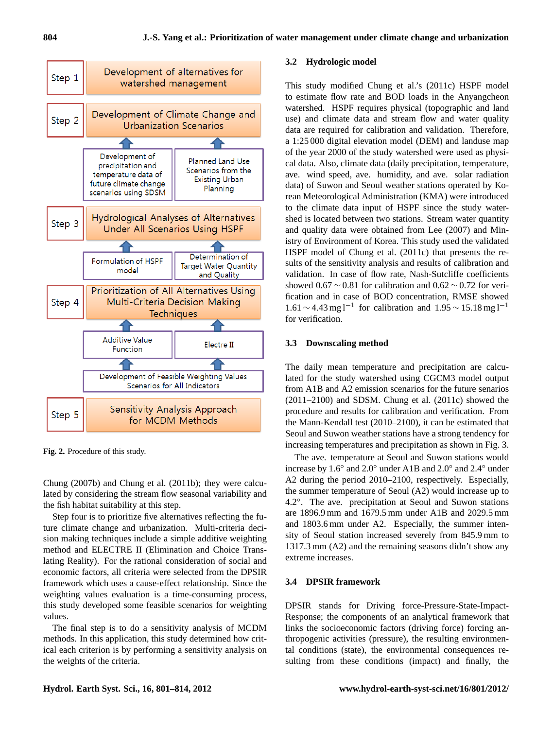

**Fig. 2.** Procedure of this study.

Chung (2007b) and Chung et al. (2011b); they were calculated by considering the stream flow seasonal variability and the fish habitat suitability at this step.

Step four is to prioritize five alternatives reflecting the future climate change and urbanization. Multi-criteria decision making techniques include a simple additive weighting method and ELECTRE II (Elimination and Choice Translating Reality). For the rational consideration of social and economic factors, all criteria were selected from the DPSIR framework which uses a cause-effect relationship. Since the weighting values evaluation is a time-consuming process, this study developed some feasible scenarios for weighting values.

The final step is to do a sensitivity analysis of MCDM methods. In this application, this study determined how critical each criterion is by performing a sensitivity analysis on the weights of the criteria.

## **3.2 Hydrologic model**

This study modified Chung et al.'s (2011c) HSPF model to estimate flow rate and BOD loads in the Anyangcheon watershed. HSPF requires physical (topographic and land use) and climate data and stream flow and water quality data are required for calibration and validation. Therefore, a 1:25 000 digital elevation model (DEM) and landuse map of the year 2000 of the study watershed were used as physical data. Also, climate data (daily precipitation, temperature, ave. wind speed, ave. humidity, and ave. solar radiation data) of Suwon and Seoul weather stations operated by Korean Meteorological Administration (KMA) were introduced to the climate data input of HSPF since the study watershed is located between two stations. Stream water quantity and quality data were obtained from Lee (2007) and Ministry of Environment of Korea. This study used the validated HSPF model of Chung et al. (2011c) that presents the results of the sensitivity analysis and results of calibration and validation. In case of flow rate, Nash-Sutcliffe coefficients showed  $0.67 \sim 0.81$  for calibration and  $0.62 \sim 0.72$  for verification and in case of BOD concentration, RMSE showed 1.61 ∼ 4.43 mg l<sup>-1</sup> for calibration and 1.95 ~ 15.18 mg l<sup>-1</sup> for verification.

## **3.3 Downscaling method**

The daily mean temperature and precipitation are calculated for the study watershed using CGCM3 model output from A1B and A2 emission scenarios for the future senarios (2011–2100) and SDSM. Chung et al. (2011c) showed the procedure and results for calibration and verification. From the Mann-Kendall test (2010–2100), it can be estimated that Seoul and Suwon weather stations have a strong tendency for increasing temperatures and precipitation as shown in Fig. 3.

The ave. temperature at Seoul and Suwon stations would increase by 1.6◦ and 2.0◦ under A1B and 2.0◦ and 2.4◦ under A2 during the period 2010–2100, respectively. Especially, the summer temperature of Seoul (A2) would increase up to 4.2◦ . The ave. precipitation at Seoul and Suwon stations are 1896.9 mm and 1679.5 mm under A1B and 2029.5 mm and 1803.6 mm under A2. Especially, the summer intensity of Seoul station increased severely from 845.9 mm to 1317.3 mm (A2) and the remaining seasons didn't show any extreme increases.

## **3.4 DPSIR framework**

DPSIR stands for Driving force-Pressure-State-Impact-Response; the components of an analytical framework that links the socioeconomic factors (driving force) forcing anthropogenic activities (pressure), the resulting environmental conditions (state), the environmental consequences resulting from these conditions (impact) and finally, the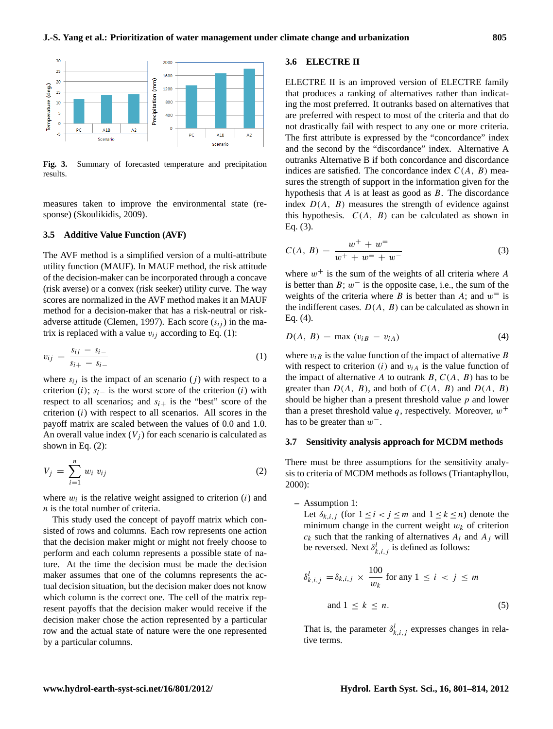

Fig. 3. Summary of forecasted temperature and precipitation results results.

measures taken to improve the environmental state (response) (Skoulikidis, 2009).

#### **3.5 Additive Value Function (AVF)**

The AVF method is a simplified version of a multi-attribute utility function (MAUF). In MAUF method, the risk attitude of the decision-maker can be incorporated through a concave (risk averse) or a convex (risk seeker) utility curve. The way scores are normalized in the AVF method makes it an MAUF method for a decision-maker that has a risk-neutral or riskadverse attitude (Clemen, 1997). Each score  $(s_{ij})$  in the matrix is replaced with a value  $v_{ij}$  according to Eq. (1):

$$
v_{ij} = \frac{s_{ij} - s_{i-}}{s_{i+} - s_{i-}}
$$
 (1)

shown in Eq.  $(2)$ : where  $s_{ij}$  is the impact of an scenario (j) with respect to a criterion (i);  $s_i$ <sub>−</sub> is the worst score of the criterion (i) with respect to all scenarios; and  $s_{i+}$  is the "best" score of the criterion  $(i)$  with respect to all scenarios. All scores in the payoff matrix are scaled between the values of 0.0 and 1.0. An overall value index  $(V_i)$  for each scenario is calculated as

$$
V_j = \sum_{i=1}^n w_i v_{ij} \tag{2}
$$

where  $w_i$  is the relative weight assigned to criterion  $(i)$  and  $n$  is the total number of criteria.

This study used the concept of payoff matrix which consisted of rows and columns. Each row represents one action that the decision maker might or might not freely choose to perform and each column represents a possible state of nature. At the time the decision must be made the decision maker assumes that one of the columns represents the actual decision situation, but the decision maker does not know which column is the correct one. The cell of the matrix represent payoffs that the decision maker would receive if the decision maker chose the action represented by a particular row and the actual state of nature were the one represented by a particular columns.

## **3.6 ELECTRE II**

ELECTRE II is an improved version of ELECTRE family that produces a ranking of alternatives rather than indicating the most preferred. It outranks based on alternatives that are preferred with respect to most of the criteria and that do not drastically fail with respect to any one or more criteria. The first attribute is expressed by the "concordance" index and the second by the "discordance" index. Alternative A outranks Alternative B if both concordance and discordance indices are satisfied. The concordance index  $C(A, B)$  measures the strength of support in the information given for the hypothesis that  $A$  is at least as good as  $B$ . The discordance index  $D(A, B)$  measures the strength of evidence against this hypothesis.  $C(A, B)$  can be calculated as shown in Eq. (3).

$$
C(A, B) = \frac{w^{+} + w^{-}}{w^{+} + w^{-} + w^{-}}
$$
 (3)

where  $w^+$  is the sum of the weights of all criteria where A is better than  $B$ ;  $w^-$  is the opposite case, i.e., the sum of the weights of the criteria where B is better than A; and  $w^=$  is the indifferent cases.  $D(A, B)$  can be calculated as shown in Eq. (4).

$$
D(A, B) = \max (v_{iB} - v_{iA})
$$
\n(4)

where  $v_{iB}$  is the value function of the impact of alternative B with respect to criterion  $(i)$  and  $v_{iA}$  is the value function of the impact of alternative A to outrank  $B, C(A, B)$  has to be greater than  $D(A, B)$ , and both of  $C(A, B)$  and  $D(A, B)$ should be higher than a present threshold value  $p$  and lower than a preset threshold value q, respectively. Moreover,  $w^+$ has to be greater than  $w^-$ .

#### **3.7 Sensitivity analysis approach for MCDM methods**

There must be three assumptions for the sensitivity analysis to criteria of MCDM methods as follows (Triantaphyllou, 2000):

**–** Assumption 1:

Let  $\delta_{k,i,j}$  (for  $1 \leq i < j \leq m$  and  $1 \leq k \leq n$ ) denote the minimum change in the current weight  $w_k$  of criterion  $c_k$  such that the ranking of alternatives  $A_i$  and  $A_j$  will be reversed. Next  $\delta_{k,i,j}^l$  is defined as follows:

$$
\delta_{k,i,j}^{l} = \delta_{k,i,j} \times \frac{100}{w_k} \text{ for any } 1 \le i < j \le m
$$
\n
$$
\text{and } 1 \le k \le n. \tag{5}
$$

That is, the parameter  $\delta_{k,i,j}^l$  expresses changes in relative terms.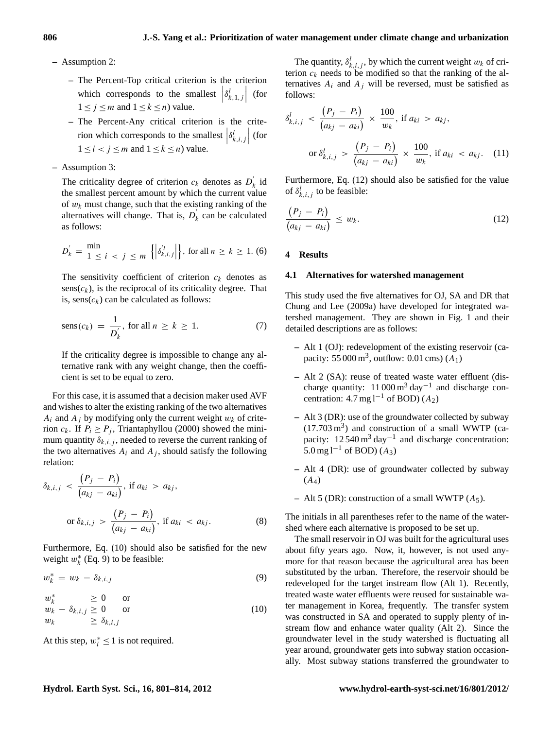- **–** Assumption 2:
	- **–** The Percent-Top critical criterion is the criterion which corresponds to the smallest  $\left|\delta_{k,1,j}^l\right|$  (for  $1 \le j \le m$  and  $1 \le k \le n$ ) value.
	- **–** The Percent-Any critical criterion is the criterion which corresponds to the smallest  $\left|\delta_{k,i,j}^l\right|$  (for  $1 \leq i < j \leq m$  and  $1 \leq k \leq n$ ) value.
- **–** Assumption 3:

The criticality degree of criterion  $c_k$  denotes as  $D'_k$  $\kappa$  id the smallest percent amount by which the current value of  $w_k$  must change, such that the existing ranking of the alternatives will change. That is,  $D'_k$  $\kappa$  can be calculated as follows:

$$
D_k' = \frac{\min}{1 \le i \le j \le m} \left\{ \left| \delta_{k,i,j}^{'l} \right| \right\}, \text{ for all } n \ge k \ge 1. (6)
$$

The sensitivity coefficient of criterion  $c_k$  denotes as  $sens(c_k)$ , is the reciprocal of its criticality degree. That is,  $sens(c_k)$  can be calculated as follows:

$$
sens(c_k) = \frac{1}{D'_k}, \text{ for all } n \ge k \ge 1. \tag{7}
$$

If the criticality degree is impossible to change any alternative rank with any weight change, then the coefficient is set to be equal to zero.

For this case, it is assumed that a decision maker used AVF and wishes to alter the existing ranking of the two alternatives  $A_i$  and  $A_j$  by modifying only the current weight  $w_k$  of criterion  $c_k$ . If  $P_i \ge P_i$ , Triantaphyllou (2000) showed the minimum quantity  $\delta_{k,i,j}$ , needed to reverse the current ranking of the two alternatives  $A_i$  and  $A_j$ , should satisfy the following relation:

$$
\delta_{k,i,j} < \frac{\left(P_j - P_i\right)}{\left(a_{kj} - a_{ki}\right)}, \text{ if } a_{ki} > a_{kj},
$$
\n
$$
\text{or } \delta_{k,i,j} > \frac{\left(P_j - P_i\right)}{\left(a_{kj} - a_{ki}\right)}, \text{ if } a_{ki} < a_{kj}.\tag{8}
$$

Furthermore, Eq. (10) should also be satisfied for the new weight  $w_k^*$  (Eq. 9) to be feasible:

$$
w_k^* = w_k - \delta_{k,i,j} \tag{9}
$$

$$
w_k^* \geq 0 \quad \text{or} w_k - \delta_{k,i,j} \geq 0 \quad \text{or} w_k \geq \delta_{k,i,j}
$$
 (10)

At this step,  $w_i^* \leq 1$  is not required.

The quantity,  $\delta_{k,i,j}^l$ , by which the current weight  $w_k$  of criterion  $c_k$  needs to be modified so that the ranking of the alternatives  $A_i$  and  $A_j$  will be reversed, must be satisfied as follows:

$$
\delta_{k,i,j}^l < \frac{\left(P_j - P_i\right)}{\left(a_{kj} - a_{ki}\right)} \times \frac{100}{w_k}, \text{ if } a_{ki} > a_{kj},
$$
\n
$$
\text{or } \delta_{k,i,j}^l > \frac{\left(P_j - P_i\right)}{\left(a_{kj} - a_{ki}\right)} \times \frac{100}{w_k}, \text{ if } a_{ki} < a_{kj}. \tag{11}
$$

Furthermore, Eq. (12) should also be satisfied for the value of  $\delta_{k,i,j}^l$  to be feasible:

$$
\frac{(P_j - P_i)}{(a_{kj} - a_{ki})} \le w_k.
$$
\n(12)

#### **4 Results**

#### **4.1 Alternatives for watershed management**

This study used the five alternatives for OJ, SA and DR that Chung and Lee (2009a) have developed for integrated watershed management. They are shown in Fig. 1 and their detailed descriptions are as follows:

- **–** Alt 1 (OJ): redevelopment of the existing reservoir (capacity: 55 000 m<sup>3</sup>, outflow: 0.01 cms)  $(A_1)$
- **–** Alt 2 (SA): reuse of treated waste water effluent (discharge quantity:  $11000 \text{ m}^3 \text{ day}^{-1}$  and discharge concentration:  $4.7 \text{ mg} 1^{-1}$  of BOD)  $(A_2)$
- **–** Alt 3 (DR): use of the groundwater collected by subway  $(17.703 \text{ m}^3)$  and construction of a small WWTP (capacity:  $12540 \text{ m}^3 \text{ day}^{-1}$  and discharge concentration: 5.0 mg l<sup>-1</sup> of BOD) (A<sub>3</sub>)
- **–** Alt 4 (DR): use of groundwater collected by subway  $(A_4)$
- **–** Alt 5 (DR): construction of a small WWTP (A5).

The initials in all parentheses refer to the name of the watershed where each alternative is proposed to be set up.

The small reservoir in OJ was built for the agricultural uses about fifty years ago. Now, it, however, is not used anymore for that reason because the agricultural area has been substituted by the urban. Therefore, the reservoir should be redeveloped for the target instream flow (Alt 1). Recently, treated waste water effluents were reused for sustainable water management in Korea, frequently. The transfer system was constructed in SA and operated to supply plenty of instream flow and enhance water quality (Alt 2). Since the groundwater level in the study watershed is fluctuating all year around, groundwater gets into subway station occasionally. Most subway stations transferred the groundwater to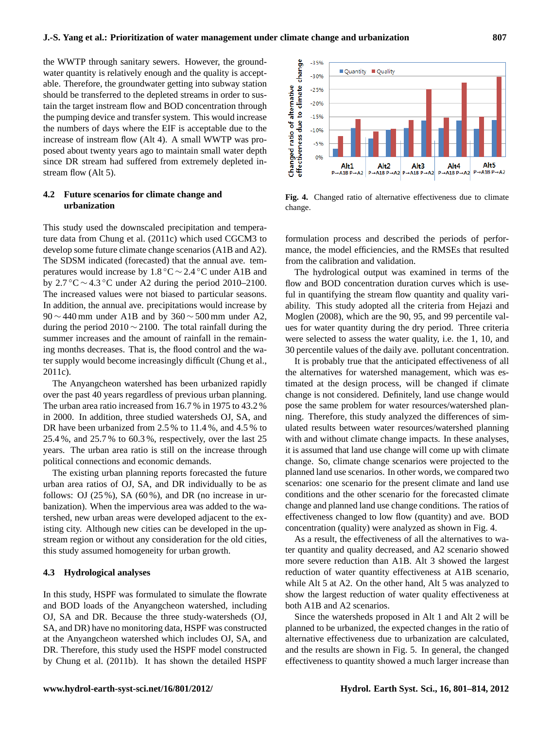the WWTP through sanitary sewers. However, the groundwater quantity is relatively enough and the quality is acceptable. Therefore, the groundwater getting into subway station should be transferred to the depleted streams in order to sustain the target instream flow and BOD concentration through the pumping device and transfer system. This would increase the numbers of days where the EIF is acceptable due to the increase of instream flow (Alt 4). A small WWTP was proposed about twenty years ago to maintain small water depth since DR stream had suffered from extremely depleted instream flow (Alt 5).

## **4.2 Future scenarios for climate change and urbanization**

This study used the downscaled precipitation and temperature data from Chung et al. (2011c) which used CGCM3 to develop some future climate change scenarios (A1B and A2). The SDSM indicated (forecasted) that the annual ave. temperatures would increase by  $1.8\degree C \sim 2.4\degree C$  under A1B and by  $2.7 \degree C \sim 4.3 \degree C$  under A2 during the period 2010–2100. The increased values were not biased to particular seasons. In addition, the annual ave. precipitations would increase by  $90 \sim 440$  mm under A1B and by 360  $\sim 500$  mm under A2, during the period 2010 ∼ 2100. The total rainfall during the summer increases and the amount of rainfall in the remaining months decreases. That is, the flood control and the water supply would become increasingly difficult (Chung et al., 2011c).

The Anyangcheon watershed has been urbanized rapidly over the past 40 years regardless of previous urban planning. The urban area ratio increased from 16.7 % in 1975 to 43.2 % in 2000. In addition, three studied watersheds OJ, SA, and DR have been urbanized from 2.5 % to 11.4 %, and 4.5 % to 25.4 %, and 25.7 % to 60.3 %, respectively, over the last 25 years. The urban area ratio is still on the increase through political connections and economic demands.

The existing urban planning reports forecasted the future urban area ratios of OJ, SA, and DR individually to be as follows: OJ  $(25\%)$ , SA  $(60\%)$ , and DR (no increase in urbanization). When the impervious area was added to the watershed, new urban areas were developed adjacent to the existing city. Although new cities can be developed in the upstream region or without any consideration for the old cities, this study assumed homogeneity for urban growth. 25.4%, and 25.7% to 60.5%, respectively, over the last 25<br>years. The urban area ratio is still on the increase through<br>political connections and economic demands.<br>The existing urban planning reports forecasted the future<br>

## **4.3 Hydrological analyses**

In this study, HSPF was formulated to simulate the flowrate and BOD loads of the Anyangcheon watershed, including OJ, SA and DR. Because the three study-watersheds (OJ, SA, and DR) have no monitoring data, HSPF was constructed at the Anyangcheon watershed which includes OJ, SA, and DR. Therefore, this study used the HSPF model constructed



**Fig. 4.** Changed ratio of alternative effectiveness due to climate change.

formulation process and described the periods of performance, the model efficiencies, and the RMSEs that resulted from the calibration and validation.

was Fig. 5. Changed Fig. 30 percentile values of the daily ave. pollutant concentration. The hydrological output was examined in terms of the flow and BOD concentration duration curves which is useful in quantifying the stream flow quantity and quality variability. This study adopted all the criteria from Hejazi and Moglen (2008), which are the 90, 95, and 99 percentile values for water quantity during the dry period. Three criteria were selected to assess the water quality, i.e. the 1, 10, and

> It is probably true that the anticipated effectiveness of all the alternatives for watershed management, which was estimated at the design process, will be changed if climate change is not considered. Definitely, land use change would pose the same problem for water resources/watershed planning. Therefore, this study analyzed the differences of simulated results between water resources/watershed planning with and without climate change impacts. In these analyses, it is assumed that land use change will come up with climate change. So, climate change scenarios were projected to the planned land use scenarios. In other words, we compared two scenarios: one scenario for the present climate and land use conditions and the other scenario for the forecasted climate change and planned land use change conditions. The ratios of effectiveness changed to low flow (quantity) and ave. BOD concentration (quality) were analyzed as shown in Fig. 4.

> As a result, the effectiveness of all the alternatives to water quantity and quality decreased, and A2 scenario showed more severe reduction than A1B. Alt 3 showed the largest reduction of water quantity effectiveness at A1B scenario, while Alt 5 at A2. On the other hand, Alt 5 was analyzed to show the largest reduction of water quality effectiveness at both A1B and A2 scenarios.

> Since the watersheds proposed in Alt 1 and Alt 2 will be planned to be urbanized, the expected changes in the ratio of alternative effectiveness due to urbanization are calculated, and the results are shown in Fig. 5. In general, the changed effectiveness to quantity showed a much larger increase than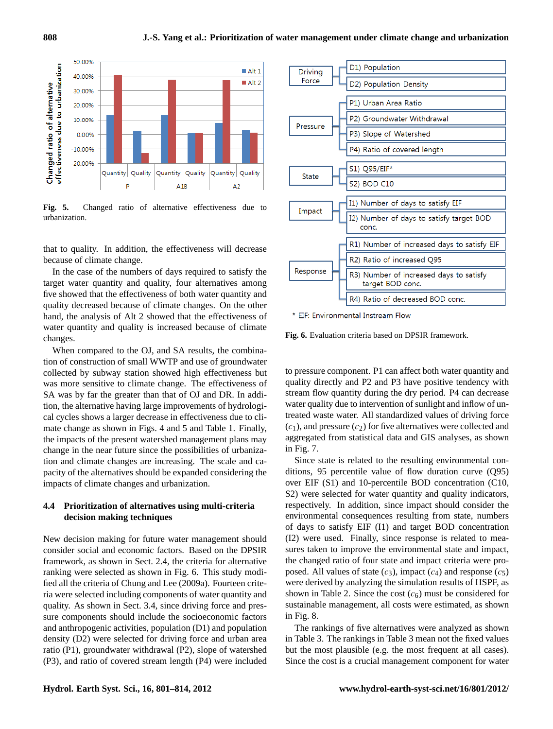

**Fig. 5.** Changed ratio of alternative effectiveness due to urbanization.

that to quality. In addition, the effectiveness will decrease because of climate change.

In the case of the numbers of days required to satisfy the target water quantity and quality, four alternatives among five showed that the effectiveness of both water quantity and quality decreased because of climate changes. On the other hand, the analysis of Alt 2 showed that the effectiveness of water quantity and quality is increased because of climate changes.

When compared to the OJ, and SA results, the combination of construction of small WWTP and use of groundwater collected by subway station showed high effectiveness but was more sensitive to climate change. The effectiveness of SA was by far the greater than that of OJ and DR. In addition, the alternative having large improvements of hydrological cycles shows a larger decrease in effectiveness due to climate change as shown in Figs. 4 and 5 and Table 1. Finally, the impacts of the present watershed management plans may change in the near future since the possibilities of urbanization and climate changes are increasing. The scale and capacity of the alternatives should be expanded considering the impacts of climate changes and urbanization.

## **4.4 Prioritization of alternatives using multi-criteria decision making techniques**

New decision making for future water management should consider social and economic factors. Based on the DPSIR framework, as shown in Sect. 2.4, the criteria for alternative ranking were selected as shown in Fig. 6. This study modified all the criteria of Chung and Lee (2009a). Fourteen criteria were selected including components of water quantity and quality. As shown in Sect. 3.4, since driving force and pressure components should include the socioeconomic factors and anthropogenic activities, population (D1) and population density (D2) were selected for driving force and urban area ratio (P1), groundwater withdrawal (P2), slope of watershed (a) the unimate matrix and expendent of the scale of column, we deterate the proposed cal cycles shown in Figs. 4 and 5 and Table 1. Finally, the impacts of the present watershed management plans may alger the minate chan



\* EIF: Environmental Instream Flow

**Fig. 6.** Evaluation criteria based on DPSIR framework.

to pressure component. P1 can affect both water quantity and quality directly and P2 and P3 have positive tendency with stream flow quantity during the dry period. P4 can decrease water quality due to intervention of sunlight and inflow of untreated waste water. All standardized values of driving force  $(c_1)$ , and pressure  $(c_2)$  for five alternatives were collected and aggregated from statistical data and GIS analyses, as shown in Fig. 7.

Since state is related to the resulting environmental conditions, 95 percentile value of flow duration curve (Q95) over EIF (S1) and 10-percentile BOD concentration (C10, S2) were selected for water quantity and quality indicators, respectively. In addition, since impact should consider the environmental consequences resulting from state, numbers of days to satisfy EIF (I1) and target BOD concentration (I2) were used. Finally, since response is related to measures taken to improve the environmental state and impact, the changed ratio of four state and impact criteria were proposed. All values of state  $(c_3)$ , impact  $(c_4)$  and response  $(c_5)$ were derived by analyzing the simulation results of HSPF, as shown in Table 2. Since the cost  $(c_6)$  must be considered for sustainable management, all costs were estimated, as shown in Fig. 8.

The rankings of five alternatives were analyzed as shown in Table 3. The rankings in Table 3 mean not the fixed values but the most plausible (e.g. the most frequent at all cases). Since the cost is a crucial management component for water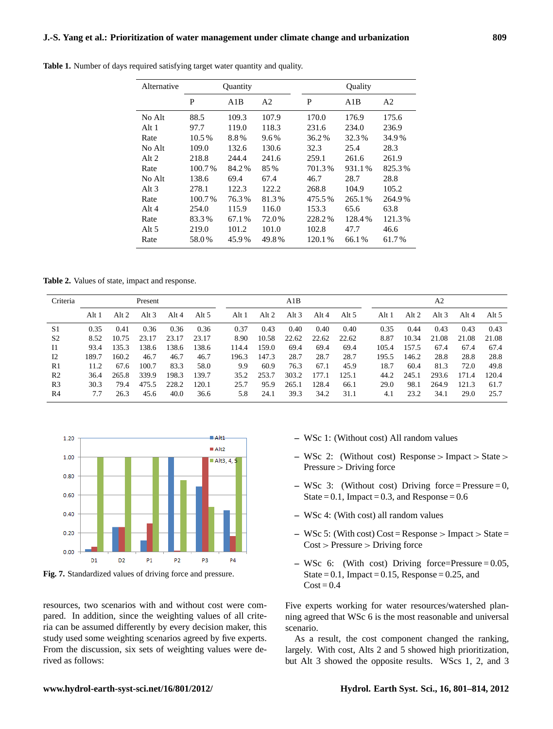| Alternative |        | Quantity |                |        | Quality |                |
|-------------|--------|----------|----------------|--------|---------|----------------|
|             | P      | A1B      | A <sub>2</sub> | P      | A1B     | A <sub>2</sub> |
| No Alt      | 88.5   | 109.3    | 107.9          | 170.0  | 176.9   | 175.6          |
| Alt 1       | 97.7   | 119.0    | 118.3          | 231.6  | 234.0   | 236.9          |
| Rate        | 10.5%  | 8.8%     | 9.6%           | 36.2%  | 32.3%   | 34.9%          |
| No Alt      | 109.0  | 132.6    | 130.6          | 32.3   | 25.4    | 28.3           |
| Alt 2       | 218.8  | 244.4    | 241.6          | 259.1  | 261.6   | 261.9          |
| Rate        | 100.7% | 84.2%    | 85%            | 701.3% | 931.1%  | 825.3%         |
| No Alt      | 138.6  | 69.4     | 67.4           | 46.7   | 28.7    | 28.8           |
| Alt 3       | 278.1  | 122.3    | 122.2          | 268.8  | 104.9   | 105.2          |
| Rate        | 100.7% | 76.3%    | 81.3%          | 475.5% | 265.1%  | 264.9%         |
| Alt 4       | 254.0  | 115.9    | 116.0          | 153.3  | 65.6    | 63.8           |
| Rate        | 83.3%  | 67.1 %   | 72.0%          | 228.2% | 128.4%  | 121.3%         |
| Alt 5       | 219.0  | 101.2    | 101.0          | 102.8  | 47.7    | 46.6           |
| Rate        | 58.0%  | 45.9%    | 49.8%          | 120.1% | 66.1%   | 61.7%          |

Table 1. Number of days required satisfying target water quantity and quality.

**Table 2.** Values of state, impact and response.

| Criteria       | Present |         |       |       | A1B   |       |       |         | A <sub>2</sub> |       |       |         |         |         |       |
|----------------|---------|---------|-------|-------|-------|-------|-------|---------|----------------|-------|-------|---------|---------|---------|-------|
|                | Alt 1   | Alt $2$ | Alt 3 | Alt 4 | Alt 5 | Alt 1 | Alt 2 | Alt $3$ | Alt 4          | Alt 5 | Alt 1 | Alt $2$ | Alt $3$ | Alt $4$ | Alt 5 |
| S1             | 0.35    | 0.41    | 0.36  | 0.36  | 0.36  | 0.37  | 0.43  | 0.40    | 0.40           | 0.40  | 0.35  | 0.44    | 0.43    | 0.43    | 0.43  |
| S <sub>2</sub> | 8.52    | 10.75   | 23.17 | 23.17 | 23.17 | 8.90  | 10.58 | 22.62   | 22.62          | 22.62 | 8.87  | 10.34   | 21.08   | 21.08   | 21.08 |
| <b>I</b> 1     | 93.4    | 135.3   | 138.6 | 138.6 | 138.6 | 114.4 | 159.0 | 69.4    | 69.4           | 69.4  | 105.4 | 157.5   | 67.4    | 67.4    | 67.4  |
| 12             | 189.7   | 160.2   | 46.7  | 46.7  | 46.7  | 196.3 | 147.3 | 28.7    | 28.7           | 28.7  | 195.5 | 146.2   | 28.8    | 28.8    | 28.8  |
| R1             | 11.2    | 67.6    | 100.7 | 83.3  | 58.0  | 9.9   | 60.9  | 76.3    | 67.1           | 45.9  | 18.7  | 60.4    | 81.3    | 72.0    | 49.8  |
| R <sub>2</sub> | 36.4    | 265.8   | 339.9 | 198.3 | 139.7 | 35.2  | 253.7 | 303.2   | 177.1          | 125.1 | 44.2  | 245.1   | 293.6   | 171.4   | 120.4 |
| R <sub>3</sub> | 30.3    | 79.4    | 475.5 | 228.2 | 120.1 | 25.7  | 95.9  | 265.1   | 128.4          | 66.1  | 29.0  | 98.1    | 264.9   | 121.3   | 61.7  |
| R <sub>4</sub> | 7.7     | 26.3    | 45.6  | 40.0  | 36.6  | 5.8   | 24.1  | 39.3    | 34.2           | 31.1  | 4.1   | 23.2    | 34.1    | 29.0    | 25.7  |



**Fig. 7.** Standardized values of driving force and pressure.

resources, two scenarios with and without cost were compared. In addition, since the weighting values of all criteria can be assumed differently by every decision maker, this study used some weighting scenarios agreed by five experts. From the discussion, six sets of weighting values were derived as follows:

- **–** WSc 1: (Without cost) All random values
- **–** WSc 2: (Without cost) Response > Impact > State > Pressure > Driving force
- **–** WSc 3: (Without cost) Driving force = Pressure = 0, State =  $0.1$ , Impact =  $0.3$ , and Response =  $0.6$
- **–** WSc 4: (With cost) all random values
- **–** WSc 5: (With cost) Cost = Response > Impact > State = Cost > Pressure > Driving force
- **–** WSc 6: (With cost) Driving force=Pressure = 0.05, State =  $0.1$ , Impact =  $0.15$ , Response =  $0.25$ , and  $Cost = 0.4$

Five experts working for water resources/watershed planning agreed that WSc 6 is the most reasonable and universal scenario.

As a result, the cost component changed the ranking, largely. With cost, Alts 2 and 5 showed high prioritization, but Alt 3 showed the opposite results. WScs 1, 2, and 3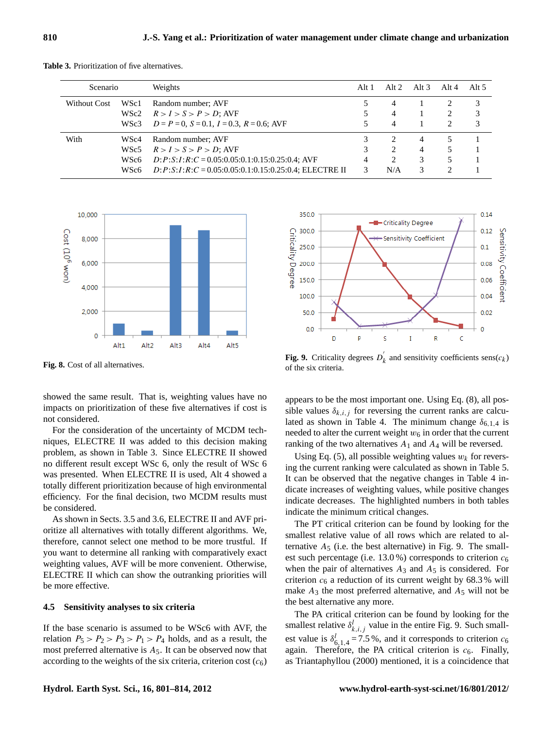| Scenario     |                  | Weights                                                       | Alt 1 | Alt $2$                       | Alt $3$ | Alt $4$ | Alt $5$ |
|--------------|------------------|---------------------------------------------------------------|-------|-------------------------------|---------|---------|---------|
| Without Cost | WSc1             | Random number; AVF                                            |       | 4                             |         |         | 3       |
|              | WSc2             | $R > I > S > P > D$ ; AVF                                     |       | 4                             |         | 2       | 3       |
|              | WSc3             | $D = P = 0$ , $S = 0.1$ , $I = 0.3$ , $R = 0.6$ ; AVF         |       | 4                             |         |         | 3       |
| With         | WS <sub>c4</sub> | Random number; AVF                                            |       | $\mathcal{D}_{\cdot}$         | 4       |         |         |
|              | WSc5             | $R > I > S > P > D$ ; AVF                                     |       | $\mathfrak{D}_{\mathfrak{p}}$ | 4       | 5       |         |
|              | WSc6             | $D: P: S: I: R: C = 0.05:0.05:0.1:0.15:0.25:0.4; AVF$         |       | $\mathfrak{D}_{\mathfrak{p}}$ | 3       | 5       |         |
|              | WSc6             | $D: P: S: I: R: C = 0.05:0.05:0.1:0.15:0.25:0.4$ ; ELECTRE II |       | N/A                           | 3       |         |         |
|              |                  |                                                               |       |                               |         |         |         |

**Table 3.** Prioritization of five alternatives.



Fig. 8. Cost of all alternatives.

showed the same result. That is, weighting values have no impacts on prioritization of these five alternatives if cost is not considered.

For the consideration of the uncertainty of MCDM techniques, ELECTRE II was added to this decision making problem, as shown in Table 3. Since ELECTRE II showed no different result except WSc 6, only the result of WSc 6 was presented. When ELECTRE II is used, Alt 4 showed a totally different prioritization because of high environmental efficiency. For the final decision, two MCDM results must be considered.

As shown in Sects. 3.5 and 3.6, ELECTRE II and AVF prioritize all alternatives with totally different algorithms. We, therefore, cannot select one method to be more trustful. If you want to determine all ranking with comparatively exact weighting values, AVF will be more convenient. Otherwise, ELECTRE II which can show the outranking priorities will be more effective.

#### $\overline{45}$  **S**ens **4.5 Sensitivity analyses to six criteria** the best alternative and the sixterial the sixterior of the sixterior of the sixterior of the sixterior of the sixterior of the sixterior of the sixterior of the sixterior of the

If the base scenario is assumed to be WSc6 with AVF, the relation  $P_5 > P_2 > P_3 > P_1 > P_4$  holds, and as a result, the most preferred alternative is  $A_5$ . It can be observed now that according to the weights of the six criteria, criterion cost  $(c_6)$ 



**Fig. 9.** Criticality degrees  $D_k'$  and sensitivity coefficients  $\text{sens}(c_k)$  $k_k$  and sensitivity coefficients sens $(c_k)$ of the six criteria.

appears to be the most important one. Using Eq. (8), all possible values  $\delta_{k,i,j}$  for reversing the current ranks are calculated as shown in Table 4. The minimum change  $\delta_{6,1,4}$  is needed to alter the current weight  $w_6$  in order that the current ranking of the two alternatives  $A_1$  and  $A_4$  will be reversed.

Using Eq. (5), all possible weighting values  $w_k$  for reversing the current ranking were calculated as shown in Table 5. It can be observed that the negative changes in Table 4 indicate increases of weighting values, while positive changes indicate decreases. The highlighted numbers in both tables indicate the minimum critical changes.

The PT critical criterion can be found by looking for the smallest relative value of all rows which are related to alternative  $A_5$  (i.e. the best alternative) in Fig. 9. The smallest such percentage (i.e.  $13.0\%$ ) corresponds to criterion  $c_6$ when the pair of alternatives  $A_3$  and  $A_5$  is considered. For criterion  $c_6$  a reduction of its current weight by 68.3% will make  $A_3$  the most preferred alternative, and  $A_5$  will not be the best alternative any more.

The PA critical criterion can be found by looking for the smallest relative  $\delta_{k,i,j}^l$  value in the entire Fig. 9. Such smallest value is  $\delta_{6,1,4}^{l} = 7.5$ %, and it corresponds to criterion  $c_6$ again. Therefore, the PA critical criterion is  $c_6$ . Finally, as Triantaphyllou (2000) mentioned, it is a coincidence that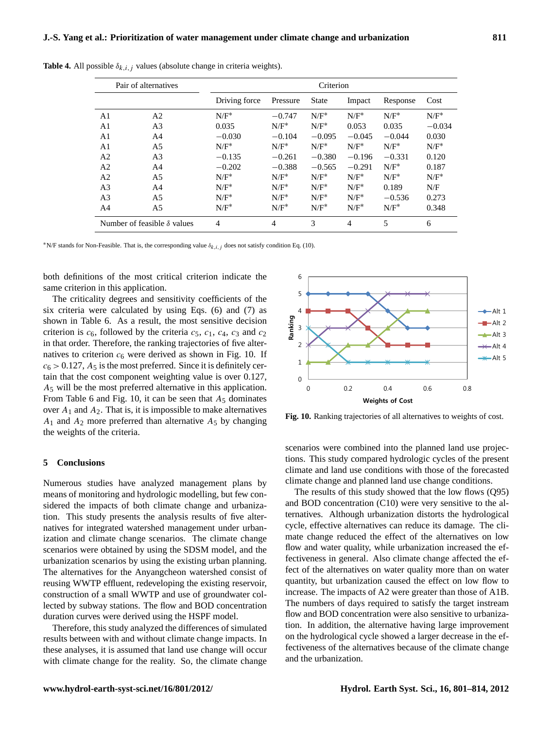|                | Pair of alternatives               | Criterion     |          |              |                |          |          |  |  |  |
|----------------|------------------------------------|---------------|----------|--------------|----------------|----------|----------|--|--|--|
|                |                                    | Driving force | Pressure | <b>State</b> | Impact         | Response | Cost     |  |  |  |
| A1             | A <sub>2</sub>                     | $N/F^*$       | $-0.747$ | $N/F^*$      | $N/F^*$        | $N/F^*$  | $N/F^*$  |  |  |  |
| A <sub>1</sub> | A <sub>3</sub>                     | 0.035         | $N/F^*$  | $N/F^*$      | 0.053          | 0.035    | $-0.034$ |  |  |  |
| A <sub>1</sub> | A4                                 | $-0.030$      | $-0.104$ | $-0.095$     | $-0.045$       | $-0.044$ | 0.030    |  |  |  |
| A1             | A <sub>5</sub>                     | $N/F^*$       | $N/F^*$  | $N/F^*$      | $N/F^*$        | $N/F^*$  | $N/F^*$  |  |  |  |
| A <sub>2</sub> | A <sub>3</sub>                     | $-0.135$      | $-0.261$ | $-0.380$     | $-0.196$       | $-0.331$ | 0.120    |  |  |  |
| A <sub>2</sub> | A <sub>4</sub>                     | $-0.202$      | $-0.388$ | $-0.565$     | $-0.291$       | $N/F^*$  | 0.187    |  |  |  |
| A <sub>2</sub> | A <sub>5</sub>                     | $N/F^*$       | $N/F^*$  | $N/F^*$      | $N/F^*$        | $N/F^*$  | $N/F^*$  |  |  |  |
| A <sub>3</sub> | A <sub>4</sub>                     | $N/F^*$       | $N/F^*$  | $N/F^*$      | $N/F^*$        | 0.189    | N/F      |  |  |  |
| A <sub>3</sub> | A <sub>5</sub>                     | $N/F^*$       | $N/F^*$  | $N/F^*$      | $N/F^*$        | $-0.536$ | 0.273    |  |  |  |
| A4             | A5                                 | $N/F^*$       | $N/F^*$  | $N/F^*$      | $N/F^*$        | $N/F^*$  | 0.348    |  |  |  |
|                | Number of feasible $\delta$ values | 4             | 4        | 3            | $\overline{4}$ | 5        | 6        |  |  |  |

**Table 4.** All possible  $\delta_{k,i,j}$  values (absolute change in criteria weights).

<sup>\*</sup>N/F stands for Non-Feasible. That is, the corresponding value  $\delta_{k,i,j}$  does not satisfy condition Eq. (10).

both definitions of the most critical criterion indicate the same criterion in this application.

The criticality degrees and sensitivity coefficients of the six criteria were calculated by using Eqs. (6) and (7) as shown in Table 6. As a result, the most sensitive decision criterion is  $c_6$ , followed by the criteria  $c_5$ ,  $c_1$ ,  $c_4$ ,  $c_3$  and  $c_2$ in that order. Therefore, the ranking trajectories of five alternatives to criterion  $c<sub>6</sub>$  were derived as shown in Fig. 10. If  $c_6 > 0.127$ ,  $A_5$  is the most preferred. Since it is definitely certain that the cost component weighting value is over 0.127, A<sup>5</sup> will be the most preferred alternative in this application. From Table 6 and Fig. 10, it can be seen that  $A_5$  dominates over  $A_1$  and  $A_2$ . That is, it is impossible to make alternatives  $A_1$  and  $A_2$  more preferred than alternative  $A_5$  by changing the weights of the criteria.

### **5 Conclusions**

Numerous studies have analyzed management plans by means of monitoring and hydrologic modelling, but few considered the impacts of both climate change and urbanization. This study presents the analysis results of five alternatives for integrated watershed management under urbanization and climate change scenarios. The climate change scenarios were obtained by using the SDSM model, and the urbanization scenarios by using the existing urban planning. The alternatives for the Anyangcheon watershed consist of reusing WWTP effluent, redeveloping the existing reservoir, construction of a small WWTP and use of groundwater collected by subway stations. The flow and BOD concentration duration curves were derived using the HSPF model.

Therefore, this study analyzed the differences of simulated results between with and without climate change impacts. In these analyses, it is assumed that land use change will occur with climate change for the reality. So, the climate change



720 **Fig. 10. Ranking trajectories of all alternatives to weights of cost Fig. 10.** Ranking trajectories of all alternatives to weights of cost.

scenarios were combined into the planned land use projections. This study compared hydrologic cycles of the present climate and land use conditions with those of the forecasted climate change and planned land use change conditions.

The results of this study showed that the low flows (Q95) and BOD concentration (C10) were very sensitive to the alternatives. Although urbanization distorts the hydrological cycle, effective alternatives can reduce its damage. The climate change reduced the effect of the alternatives on low flow and water quality, while urbanization increased the effectiveness in general. Also climate change affected the effect of the alternatives on water quality more than on water quantity, but urbanization caused the effect on low flow to increase. The impacts of A2 were greater than those of A1B. The numbers of days required to satisfy the target instream flow and BOD concentration were also sensitive to urbanization. In addition, the alternative having large improvement on the hydrological cycle showed a larger decrease in the effectiveness of the alternatives because of the climate change and the urbanization.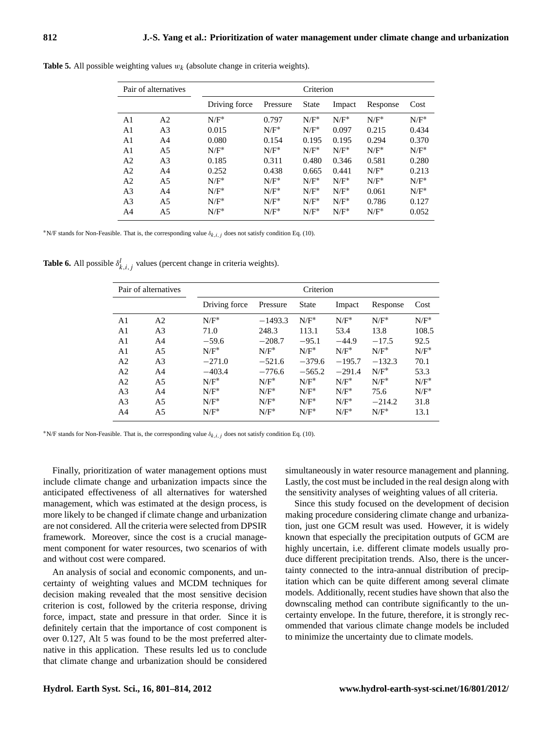| Pair of alternatives |                | Criterion     |          |         |         |          |         |  |  |
|----------------------|----------------|---------------|----------|---------|---------|----------|---------|--|--|
|                      |                | Driving force | Pressure | State   | Impact  | Response | Cost    |  |  |
| A <sub>1</sub>       | A <sub>2</sub> | $N/F^*$       | 0.797    | $N/F^*$ | $N/F^*$ | $N/F^*$  | $N/F^*$ |  |  |
| A1                   | A <sub>3</sub> | 0.015         | $N/F^*$  | $N/F^*$ | 0.097   | 0.215    | 0.434   |  |  |
| A <sub>1</sub>       | A <sub>4</sub> | 0.080         | 0.154    | 0.195   | 0.195   | 0.294    | 0.370   |  |  |
| A <sub>1</sub>       | A <sub>5</sub> | $N/F^*$       | $N/F^*$  | $N/F^*$ | $N/F^*$ | $N/F^*$  | $N/F^*$ |  |  |
| A <sub>2</sub>       | A <sub>3</sub> | 0.185         | 0.311    | 0.480   | 0.346   | 0.581    | 0.280   |  |  |
| A <sub>2</sub>       | A <sub>4</sub> | 0.252         | 0.438    | 0.665   | 0.441   | $N/F^*$  | 0.213   |  |  |
| A <sub>2</sub>       | A <sub>5</sub> | $N/F^*$       | $N/F^*$  | $N/F^*$ | $N/F^*$ | $N/F^*$  | $N/F^*$ |  |  |
| A <sub>3</sub>       | A <sub>4</sub> | $N/F^*$       | $N/F^*$  | $N/F^*$ | $N/F^*$ | 0.061    | $N/F^*$ |  |  |
| A <sub>3</sub>       | A <sub>5</sub> | $N/F^*$       | $N/F^*$  | $N/F^*$ | $N/F^*$ | 0.786    | 0.127   |  |  |
| A <sub>4</sub>       | A5             | $N/F^*$       | $N/F^*$  | $N/F^*$ | $N/F^*$ | $N/F^*$  | 0.052   |  |  |

**Table 5.** All possible weighting values  $w_k$  (absolute change in criteria weights).

<sup>\*</sup>N/F stands for Non-Feasible. That is, the corresponding value  $\delta_{k,i,j}$  does not satisfy condition Eq. (10).

**Table 6.** All possible  $\delta_{k,i,j}^l$  values (percent change in criteria weights).

| Pair of alternatives |                | Criterion     |           |              |          |          |         |  |  |  |
|----------------------|----------------|---------------|-----------|--------------|----------|----------|---------|--|--|--|
|                      |                | Driving force | Pressure  | <b>State</b> | Impact   | Response | Cost    |  |  |  |
| A <sub>1</sub>       | A <sub>2</sub> | $N/F^*$       | $-1493.3$ | $N/F^*$      | $N/F^*$  | $N/F^*$  | $N/F^*$ |  |  |  |
| A <sub>1</sub>       | A <sub>3</sub> | 71.0          | 248.3     | 113.1        | 53.4     | 13.8     | 108.5   |  |  |  |
| A <sub>1</sub>       | A <sub>4</sub> | $-59.6$       | $-208.7$  | $-95.1$      | $-44.9$  | $-17.5$  | 92.5    |  |  |  |
| A <sub>1</sub>       | A5             | $N/F^*$       | $N/F^*$   | $N/F^*$      | $N/F^*$  | $N/F^*$  | $N/F^*$ |  |  |  |
| A <sub>2</sub>       | A <sub>3</sub> | $-271.0$      | $-521.6$  | $-379.6$     | $-195.7$ | $-132.3$ | 70.1    |  |  |  |
| A <sub>2</sub>       | A <sub>4</sub> | $-403.4$      | $-776.6$  | $-565.2$     | $-291.4$ | $N/F^*$  | 53.3    |  |  |  |
| A <sub>2</sub>       | A5             | $N/F^*$       | $N/F^*$   | $N/F^*$      | $N/F^*$  | $N/F^*$  | $N/F^*$ |  |  |  |
| A <sub>3</sub>       | A4             | $N/F^*$       | $N/F^*$   | $N/F^*$      | $N/F^*$  | 75.6     | $N/F^*$ |  |  |  |
| A <sub>3</sub>       | A5             | $N/F^*$       | $N/F^*$   | $N/F^*$      | $N/F^*$  | $-214.2$ | 31.8    |  |  |  |
| A4                   | A5             | $N/F^*$       | $N/F^*$   | $N/F^*$      | $N/F^*$  | $N/F^*$  | 13.1    |  |  |  |

<sup>\*</sup>N/F stands for Non-Feasible. That is, the corresponding value  $\delta_{k,i,j}$  does not satisfy condition Eq. (10).

Finally, prioritization of water management options must include climate change and urbanization impacts since the anticipated effectiveness of all alternatives for watershed management, which was estimated at the design process, is more likely to be changed if climate change and urbanization are not considered. All the criteria were selected from DPSIR framework. Moreover, since the cost is a crucial management component for water resources, two scenarios of with and without cost were compared.

An analysis of social and economic components, and uncertainty of weighting values and MCDM techniques for decision making revealed that the most sensitive decision criterion is cost, followed by the criteria response, driving force, impact, state and pressure in that order. Since it is definitely certain that the importance of cost component is over 0.127, Alt 5 was found to be the most preferred alternative in this application. These results led us to conclude that climate change and urbanization should be considered simultaneously in water resource management and planning. Lastly, the cost must be included in the real design along with the sensitivity analyses of weighting values of all criteria.

Since this study focused on the development of decision making procedure considering climate change and urbanization, just one GCM result was used. However, it is widely known that especially the precipitation outputs of GCM are highly uncertain, i.e. different climate models usually produce different precipitation trends. Also, there is the uncertainty connected to the intra-annual distribution of precipitation which can be quite different among several climate models. Additionally, recent studies have shown that also the downscaling method can contribute significantly to the uncertainty envelope. In the future, therefore, it is strongly recommended that various climate change models be included to minimize the uncertainty due to climate models.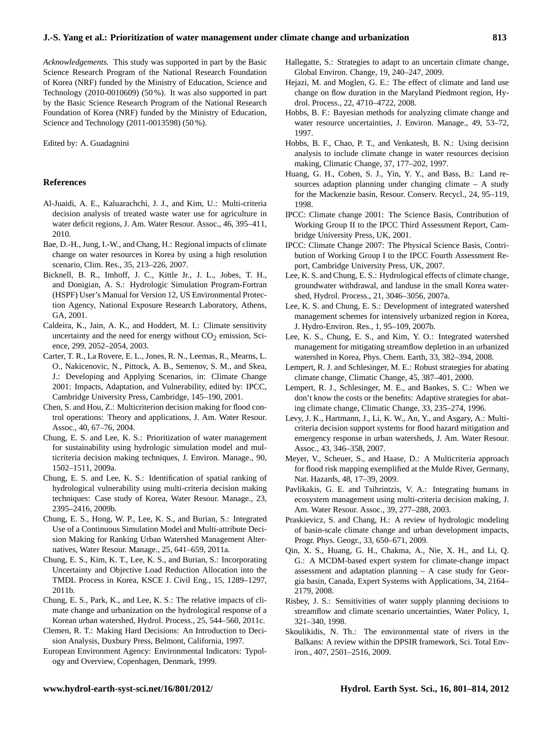*Acknowledgements.* This study was supported in part by the Basic Science Research Program of the National Research Foundation of Korea (NRF) funded by the Ministry of Education, Science and Technology (2010-0010609) (50 %). It was also supported in part by the Basic Science Research Program of the National Research Foundation of Korea (NRF) funded by the Ministry of Education, Science and Technology (2011-0013598) (50 %).

Edited by: A. Guadagnini

## **References**

- Al-Juaidi, A. E., Kaluarachchi, J. J., and Kim, U.: Multi-criteria decision analysis of treated waste water use for agriculture in water deficit regions, J. Am. Water Resour. Assoc., 46, 395–411, 2010.
- Bae, D.-H., Jung, I.-W., and Chang, H.: Regional impacts of climate change on water resources in Korea by using a high resolution scenario, Clim. Res., 35, 213–226, 2007.
- Bicknell, B. R., Imhoff, J. C., Kittle Jr., J. L., Jobes, T. H., and Donigian, A. S.: Hydrologic Simulation Program-Fortran (HSPF) User's Manual for Version 12, US Environmental Protection Agency, National Exposure Research Laboratory, Athens, GA, 2001.
- Caldeira, K., Jain, A. K., and Hoddert, M. I.: Climate sensitivity uncertainty and the need for energy without  $CO<sub>2</sub>$  emission, Science, 299, 2052–2054, 2003.
- Carter, T. R., La Rovere, E. L., Jones, R. N., Leemas, R., Mearns, L. O., Nakicenovic, N., Pittock, A. B., Semenov, S. M., and Skea, J.: Developing and Applying Scenarios, in: Climate Change 2001: Impacts, Adaptation, and Vulnerability, edited by: IPCC, Cambridge University Press, Cambridge, 145–190, 2001.
- Chen, S. and Hou, Z.: Multicriterion decision making for flood control operations: Theory and applications, J. Am. Water Resour. Assoc., 40, 67–76, 2004.
- Chung, E. S. and Lee, K. S.: Prioritization of water management for sustainability using hydrologic simulation model and multicriteria decision making techniques, J. Environ. Manage., 90, 1502–1511, 2009a.
- Chung, E. S. and Lee, K. S.: Identification of spatial ranking of hydrological vulnerability using multi-criteria decision making techniques: Case study of Korea, Water Resour. Manage., 23, 2395–2416, 2009b.
- Chung, E. S., Hong, W. P., Lee, K. S., and Burian, S.: Integrated Use of a Continuous Simulation Model and Multi-attribute Decision Making for Ranking Urban Watershed Management Alternatives, Water Resour. Manage., 25, 641–659, 2011a.
- Chung, E. S., Kim, K. T., Lee, K. S., and Burian, S.: Incorporating Uncertainty and Objective Load Reduction Allocation into the TMDL Process in Korea, KSCE J. Civil Eng., 15, 1289–1297, 2011b.
- Chung, E. S., Park, K., and Lee, K. S.: The relative impacts of climate change and urbanization on the hydrological response of a Korean urban watershed, Hydrol. Process., 25, 544–560, 2011c.
- Clemen, R. T.: Making Hard Decisions: An Introduction to Decision Analysis, Duxbury Press, Belmont, California, 1997.
- European Environment Agency: Environmental Indicators: Typology and Overview, Copenhagen, Denmark, 1999.
- Hallegatte, S.: Strategies to adapt to an uncertain climate change, Global Environ. Change, 19, 240–247, 2009.
- Hejazi, M. and Moglen, G. E.: The effect of climate and land use change on flow duration in the Maryland Piedmont region, Hydrol. Process., 22, 4710–4722, 2008.
- Hobbs, B. F.: Bayesian methods for analyzing climate change and water resource uncertainties, J. Environ. Manage., 49, 53–72, 1997.
- Hobbs, B. F., Chao, P. T., and Venkatesh, B. N.: Using decision analysis to include climate change in water resources decision making, Climatic Change, 37, 177–202, 1997.
- Huang, G. H., Cohen, S. J., Yin, Y. Y., and Bass, B.: Land resources adaption planning under changing climate – A study for the Mackenzie basin, Resour. Conserv. Recycl., 24, 95–119, 1998.
- IPCC: Climate change 2001: The Science Basis, Contribution of Working Group II to the IPCC Third Assessment Report, Cambridge University Press, UK, 2001.
- IPCC: Climate Change 2007: The Physical Science Basis, Contribution of Working Group I to the IPCC Fourth Assessment Report, Cambridge University Press, UK, 2007.
- Lee, K. S. and Chung, E. S.: Hydrological effects of climate change, groundwater withdrawal, and landuse in the small Korea watershed, Hydrol. Process., 21, 3046–3056, 2007a.
- Lee, K. S. and Chung, E. S.: Development of integrated watershed management schemes for intensively urbanized region in Korea, J. Hydro-Environ. Res., 1, 95–109, 2007b.
- Lee, K. S., Chung, E. S., and Kim, Y. O.: Integrated watershed management for mitigating streamflow depletion in an urbanized watershed in Korea, Phys. Chem. Earth, 33, 382–394, 2008.
- Lempert, R. J. and Schlesinger, M. E.: Robust strategies for abating climate change, Climatic Change, 45, 387–401, 2000.
- Lempert, R. J., Schlesinger, M. E., and Bankes, S. C.: When we don't know the costs or the benefits: Adaptive strategies for abating climate change, Climatic Change, 33, 235–274, 1996.
- Levy, J. K., Hartmann, J., Li, K. W., An, Y., and Asgary, A.: Multicriteria decision support systems for flood hazard mitigation and emergency response in urban watersheds, J. Am. Water Resour. Assoc., 43, 346–358, 2007.
- Meyer, V., Scheuer, S., and Haase, D.: A Multicriteria approach for flood risk mapping exemplified at the Mulde River, Germany, Nat. Hazards, 48, 17–39, 2009.
- Pavlikakis, G. E. and Tsihrintzis, V. A.: Integrating humans in ecosystem management using multi-criteria decision making, J. Am. Water Resour. Assoc., 39, 277–288, 2003.
- Praskievicz, S. and Chang, H.: A review of hydrologic modeling of basin-scale climate change and urban development impacts, Progr. Phys. Geogr., 33, 650–671, 2009.
- Qin, X. S., Huang, G. H., Chakma, A., Nie, X. H., and Li, Q. G.: A MCDM-based expert system for climate-change impact assessment and adaptation planning – A case study for Georgia basin, Canada, Expert Systems with Applications, 34, 2164– 2179, 2008.
- Risbey, J. S.: Sensitivities of water supply planning decisions to streamflow and climate scenario uncertainties, Water Policy, 1, 321–340, 1998.
- Skoulikidis, N. Th.: The environmental state of rivers in the Balkans: A review within the DPSIR framework, Sci. Total Environ., 407, 2501–2516, 2009.